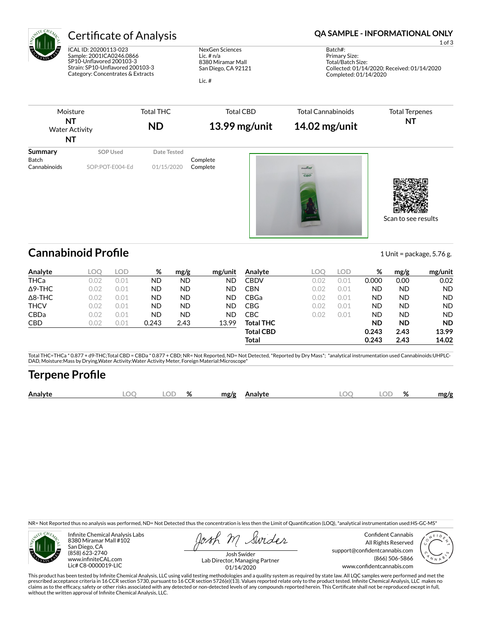

ICAL ID: 20200113-023 Sample: 2001ICA0246.0866 SP10-Unflavored 200103-3 Strain: SP10-Unflavored 200103-3 Category: Concentrates & Extracts

NexGen Sciences Lic. # n/a 8380 Miramar Mall San Diego, CA 92121

Lic. #

## Certificate of Analysis **Certificate of Analysis QA SAMPLE - INFORMATIONAL ONLY**

1 of 3

Batch#: Primary Size: Total/Batch Size: Collected: 01/14/2020; Received: 01/14/2020 Completed: 01/14/2020

Scan to see results

| Moisture<br>NT<br><b>Water Activity</b><br>NT |                 | <b>Total THC</b><br><b>ND</b> | <b>Total CBD</b><br>$13.99$ mg/unit | <b>Total Cannabinoids</b><br>$14.02$ mg/unit | <b>Total Terpenes</b><br>NT |  |
|-----------------------------------------------|-----------------|-------------------------------|-------------------------------------|----------------------------------------------|-----------------------------|--|
| Summary<br>Batch                              | SOP Used        | Date Tested                   | Complete                            |                                              |                             |  |
| Cannabinoids                                  | SOP:POT-E004-Ed | 01/15/2020                    | Complete                            | <b>DOUNTURY</b><br>CBD                       |                             |  |

**Cannabinoid Profile** 1 Unit = package, 5.76 g.

**Analyte LOQ LOD % mg/g mg/unit** THCa 0.02 0.01 ND ND ND Δ9-THC 0.02 0.01 ND ND ND Δ8-THC 0.02 0.01 ND ND ND THCV 0.02 0.01 ND ND ND CBDa 0.02 0.01 ND ND ND CBD 0.02 0.01 0.243 2.43 13.99 **Analyte LOQ LOD % mg/g mg/unit CBDV** 0.02 0.01 **0.000 0.00 0.02** CBN 0.02 0.01 ND ND ND CBGa 0.02 0.01 ND ND ND CBG 0.02 0.01 ND ND ND CBC 0.02 0.01 ND ND ND **Total THC ND ND ND Total CBD 0.243 2.43 13.99 Total 0.243 2.43 14.02**

Total THC=THCa \* 0.877 + d9-THC;Total CBD = CBDa \* 0.877 + CBD; NR= Not Reported, ND= Not Detected, \*Reported by Dry Mass\*; \*analytical instrumentation used Cannabinoids:UHPLC-DAD, Moisture:Mass by Drying,Water Activity:Water Activity Meter, Foreign Material:Microscope\*

# **Terpene Pro×le**

| Analy | OΓ | $\mathbf{a}$<br>70 | mø/s |  | λľ | 07<br>$70^{\circ}$ | .no/o |
|-------|----|--------------------|------|--|----|--------------------|-------|
|       |    |                    |      |  |    |                    |       |

NR= Not Reported thus no analysis was performed, ND= Not Detected thus the concentration is less then the Limit of Quantification (LOQ), \*analytical instrumentation used:HS-GC-MS\*



Infinite Chemical Analysis Labs 8380 Miramar Mall #102 San Diego, CA (858) 623-2740 www.infiniteCAL.com Lic# C8-0000019-LIC

Swides

Confident Cannabis All Rights Reserved support@confidentcannabis.com (866) 506-5866 www.confidentcannabis.com



Josh Swider Lab Director, Managing Partner 01/14/2020

This product has been tested by Infinite Chemical Analysis, LLC using valid testing methodologies and a quality system as required by state law. All LQC samples were performed and met the prescribed acceptance criteria in 16 CCR section 5730, pursuant to 16 CCR section 5726(e)(13). Values reported relate only to the product tested. Infinite Chemical Analysis, LLC makes no<br>claims as to the efficacy, safety o without the written approval of Infinite Chemical Analysis, LLC.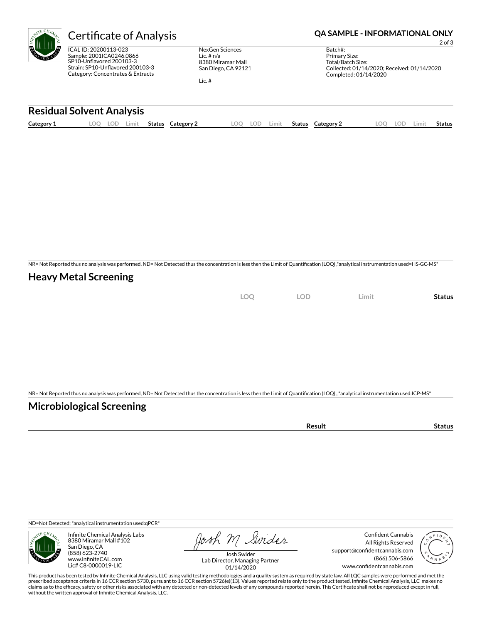| CHENT.<br>ā<br>щ.<br>c<br>с |
|-----------------------------|
|-----------------------------|

ICAL ID: 20200113-023 Sample: 2001ICA0246.0866 SP10-Unflavored 200103-3 Strain: SP10-Unflavored 200103-3 Category: Concentrates & Extracts

NexGen Sciences Lic. # n/a 8380 Miramar Mall San Diego, CA 92121

Lic. #

## Certificate of Analysis **Certificate of Analysis QA SAMPLE - INFORMATIONAL ONLY**

2 of 3

Batch#: Primary Size: Total/Batch Size: Collected: 01/14/2020; Received: 01/14/2020 Completed: 01/14/2020

### **Residual Solvent Analysis**

| Category 1 | OС<br>LOD. | Limit | Status | Category | OO | LOD | Limit. | Status | Category $\angle$ | <b>LOC</b> | .OF | ∟imit | Status |
|------------|------------|-------|--------|----------|----|-----|--------|--------|-------------------|------------|-----|-------|--------|
|            |            |       |        |          |    |     |        |        |                   |            |     |       |        |

NR= Not Reported thus no analysis was performed, ND= Not Detected thus the concentration is less then the Limit of Quantification (LOQ),\*analytical instrumentation used=HS-GC-MS\*

## **Heavy Metal Screening**

| $\sim$<br>∼<br>$\sim$ | <b>LOD</b> | Limit | status |
|-----------------------|------------|-------|--------|
|                       |            |       |        |

NR= Not Reported thus no analysis was performed, ND= Not Detected thus the concentration is less then the Limit of Quantification (LOQ), \*analytical instrumentation used:ICP-MS\*

## **Microbiological Screening**

| the contract of the contract of the contract of<br>чн |  |
|-------------------------------------------------------|--|
|                                                       |  |

ND=Not Detected; \*analytical instrumentation used:qPCR\*



Infinite Chemical Analysis Labs 8380 Miramar Mall #102 San Diego, CA (858) 623-2740 www.infiniteCAL.com Lic# C8-0000019-LIC

Josh M Swider

Confident Cannabis All Rights Reserved support@confidentcannabis.com (866) 506-5866 www.confidentcannabis.com



Josh Swider Lab Director, Managing Partner 01/14/2020

This product has been tested by Infinite Chemical Analysis, LLC using valid testing methodologies and a quality system as required by state law. All LQC samples were performed and met the prescribed acceptance criteria in 16 CCR section 5730, pursuant to 16 CCR section 5726(e)(13). Values reported relate only to the product tested. Infinite Chemical Analysis, LLC makes no<br>claims as to the efficacy, safety o without the written approval of Infinite Chemical Analysis, LLC.